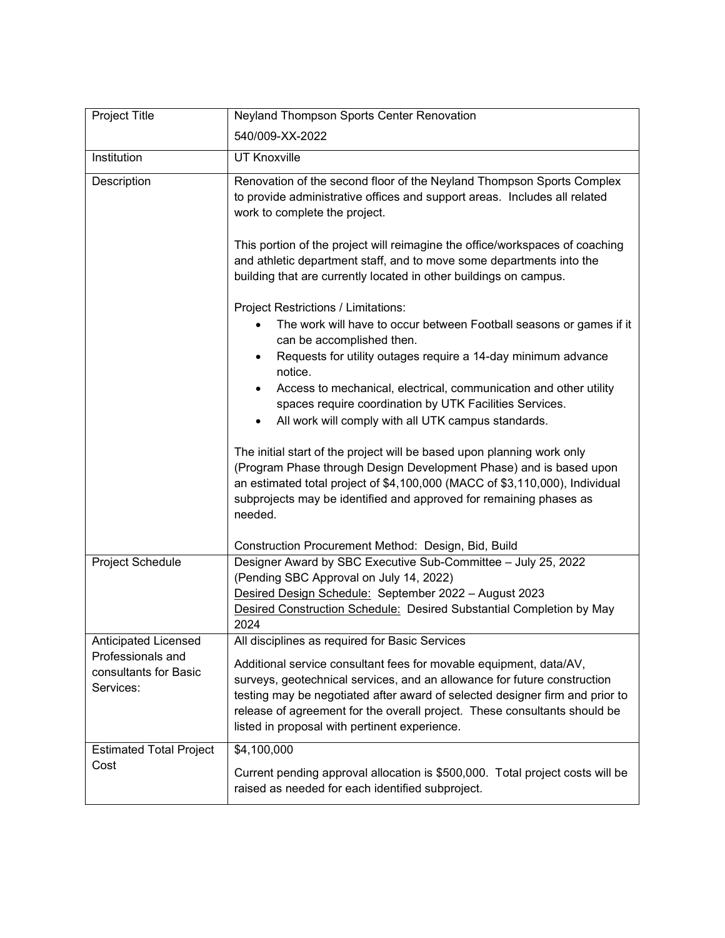| Project Title                                           | <b>Neyland Thompson Sports Center Renovation</b>                                                                                                                                                                                                                                                                                                             |
|---------------------------------------------------------|--------------------------------------------------------------------------------------------------------------------------------------------------------------------------------------------------------------------------------------------------------------------------------------------------------------------------------------------------------------|
|                                                         | 540/009-XX-2022                                                                                                                                                                                                                                                                                                                                              |
| Institution                                             | <b>UT Knoxville</b>                                                                                                                                                                                                                                                                                                                                          |
| Description                                             | Renovation of the second floor of the Neyland Thompson Sports Complex<br>to provide administrative offices and support areas. Includes all related<br>work to complete the project.                                                                                                                                                                          |
|                                                         | This portion of the project will reimagine the office/workspaces of coaching<br>and athletic department staff, and to move some departments into the<br>building that are currently located in other buildings on campus.                                                                                                                                    |
|                                                         | Project Restrictions / Limitations:<br>The work will have to occur between Football seasons or games if it                                                                                                                                                                                                                                                   |
|                                                         | can be accomplished then.<br>Requests for utility outages require a 14-day minimum advance<br>notice.                                                                                                                                                                                                                                                        |
|                                                         | Access to mechanical, electrical, communication and other utility<br>spaces require coordination by UTK Facilities Services.                                                                                                                                                                                                                                 |
|                                                         | All work will comply with all UTK campus standards.                                                                                                                                                                                                                                                                                                          |
|                                                         | The initial start of the project will be based upon planning work only<br>(Program Phase through Design Development Phase) and is based upon<br>an estimated total project of \$4,100,000 (MACC of \$3,110,000), Individual<br>subprojects may be identified and approved for remaining phases as<br>needed.                                                 |
|                                                         | Construction Procurement Method: Design, Bid, Build                                                                                                                                                                                                                                                                                                          |
| Project Schedule                                        | Designer Award by SBC Executive Sub-Committee - July 25, 2022<br>(Pending SBC Approval on July 14, 2022)<br>Desired Design Schedule: September 2022 - August 2023<br>Desired Construction Schedule: Desired Substantial Completion by May<br>2024                                                                                                            |
| Anticipated Licensed                                    | All disciplines as required for Basic Services                                                                                                                                                                                                                                                                                                               |
| Professionals and<br>consultants for Basic<br>Services: | Additional service consultant fees for movable equipment, data/AV,<br>surveys, geotechnical services, and an allowance for future construction<br>testing may be negotiated after award of selected designer firm and prior to<br>release of agreement for the overall project. These consultants should be<br>listed in proposal with pertinent experience. |
| <b>Estimated Total Project</b><br>Cost                  | \$4,100,000<br>Current pending approval allocation is \$500,000. Total project costs will be<br>raised as needed for each identified subproject.                                                                                                                                                                                                             |